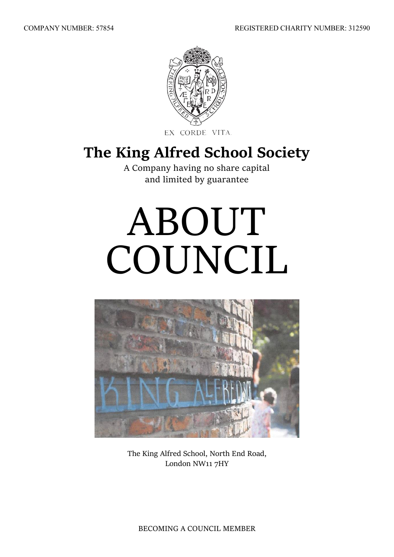

EX CORDE VITA.

## **The King Alfred School Society**

A Company having no share capital and limited by guarantee

# ABOUT COUNCIL



The King Alfred School, North End Road, London NW11 7HY

BECOMING A COUNCIL MEMBER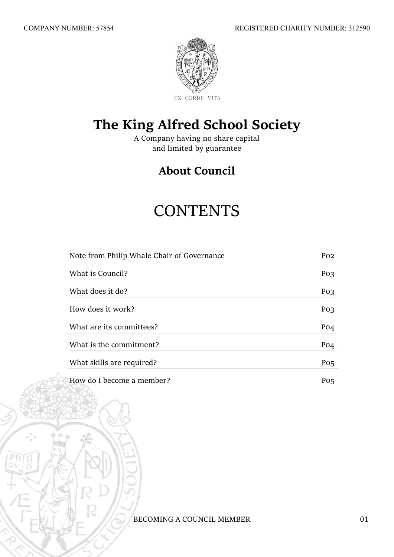

### **The King Alfred School Society**

A Company having no share capital and limited by guarantee

### **About Council**

# **CONTENTS**

| Note from Philip Whale Chair of Governance | P <sub>O</sub> <sub>2</sub> |
|--------------------------------------------|-----------------------------|
| What is Council?                           | Po <sub>3</sub>             |
| What does it do?                           | Po <sub>3</sub>             |
| How does it work?                          | Po <sub>3</sub>             |
| What are its committees?                   | P <sub>O</sub> <sub>4</sub> |
| What is the commitment?                    | P <sub>O</sub> <sub>4</sub> |
| What skills are required?                  | $P_{0,5}$                   |
| How do I become a member?                  | Po <sub>5</sub>             |

BECOMING A COUNCIL MEMBER 01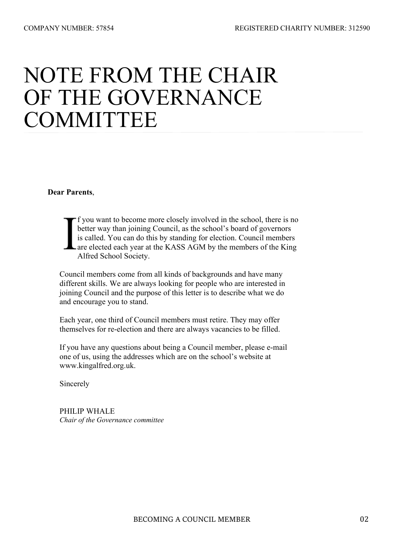# NOTE FROM THE CHAIR OF THE GOVERNANCE **COMMITTEE**

**Dear Parents**,

f you want to become more closely involved in the school, there is no better way than joining Council, as the school's board of governors is called. You can do this by standing for election. Council members L are elected each year at the KASS AGM by the members of the King Alfred School Society.

 Council members come from all kinds of backgrounds and have many different skills. We are always looking for people who are interested in joining Council and the purpose of this letter is to describe what we do and encourage you to stand.

 Each year, one third of Council members must retire. They may offer themselves for re-election and there are always vacancies to be filled.

 If you have any questions about being a Council member, please e-mail one of us, using the addresses which are on the school's website at www.kingalfred.org.uk.

Sincerely

 PHILIP WHALE *Chair of the Governance committee*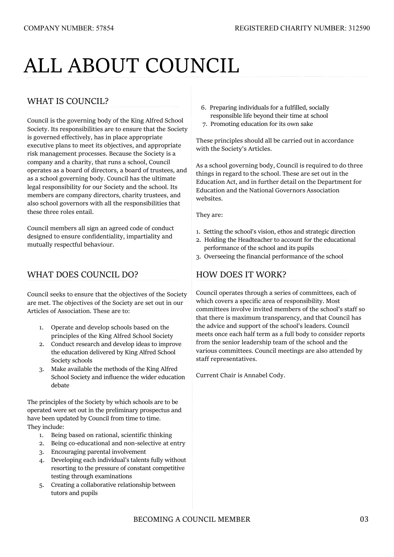# ALL ABOUT COUNCIL

#### WHAT IS COUNCIL?

Council is the governing body of the King Alfred School Society. Its responsibilities are to ensure that the Society is governed effectively, has in place appropriate executive plans to meet its objectives, and appropriate risk management processes. Because the Society is a company and a charity, that runs a school, Council operates as a board of directors, a board of trustees, and as a school governing body. Council has the ultimate legal responsibility for our Society and the school. Its members are company directors, charity trustees, and also school governors with all the responsibilities that these three roles entail.

Council members all sign an agreed code of conduct designed to ensure confidentiality, impartiality and mutually respectful behaviour.

#### WHAT DOES COUNCIL DO?

Council seeks to ensure that the objectives of the Society are met. The objectives of the Society are set out in our Articles of Association. These are to:

- 1. Operate and develop schools based on the principles of the King Alfred School Society
- 2. Conduct research and develop ideas to improve the education delivered by King Alfred School Society schools
- 3. Make available the methods of the King Alfred School Society and influence the wider education debate

The principles of the Society by which schools are to be operated were set out in the preliminary prospectus and have been updated by Council from time to time. They include:

- 1. Being based on rational, scientific thinking
- 2. Being co-educational and non-selective at entry
- 3. Encouraging parental involvement
- 4. Developing each individual's talents fully without resorting to the pressure of constant competitive testing through examinations
- 5. Creating a collaborative relationship between tutors and pupils
- 6. Preparing individuals for a fulfilled, socially responsible life beyond their time at school
- 7. Promoting education for its own sake

These principles should all be carried out in accordance with the Society's Articles.

As a school governing body, Council is required to do three things in regard to the school. These are set out in the Education Act, and in further detail on the Department for Education and the National Governors Association websites.

They are:

- 1. Setting the school's vision, ethos and strategic direction
- 2. Holding the Headteacher to account for the educational performance of the school and its pupils
- 3. Overseeing the financial performance of the school

#### HOW DOES IT WORK?

Council operates through a series of committees, each of which covers a specific area of responsibility. Most committees involve invited members of the school's staff so that there is maximum transparency, and that Council has the advice and support of the school's leaders. Council meets once each half term as a full body to consider reports from the senior leadership team of the school and the various committees. Council meetings are also attended by staff representatives.

Current Chair is Annabel Cody.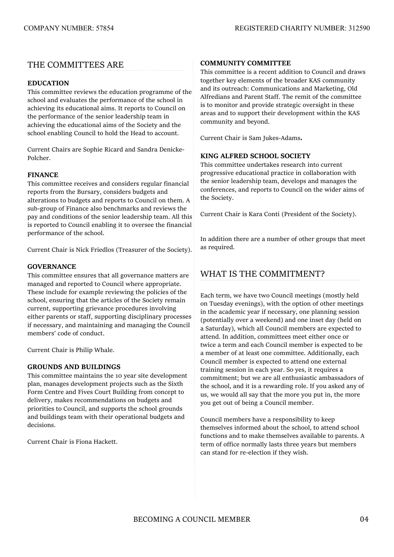#### THE COMMITTEES ARE

#### **EDUCATION**

This committee reviews the education programme of the school and evaluates the performance of the school in achieving its educational aims. It reports to Council on the performance of the senior leadership team in achieving the educational aims of the Society and the school enabling Council to hold the Head to account.

Current Chairs are Sophie Ricard and Sandra Denicke-Polcher.

#### **FINANCE**

This committee receives and considers regular financial reports from the Bursary, considers budgets and alterations to budgets and reports to Council on them. A sub-group of Finance also benchmarks and reviews the pay and conditions of the senior leadership team. All this is reported to Council enabling it to oversee the financial performance of the school.

Current Chair is Nick Friedlos (Treasurer of the Society).

#### **GOVERNANCE**

This committee ensures that all governance matters are managed and reported to Council where appropriate. These include for example reviewing the policies of the school, ensuring that the articles of the Society remain current, supporting grievance procedures involving either parents or staff, supporting disciplinary processes if necessary, and maintaining and managing the Council members' code of conduct.

Current Chair is Philip Whale.

#### **GROUNDS AND BUILDINGS**

This committee maintains the 10 year site development plan, manages development projects such as the Sixth Form Centre and Fives Court Building from concept to delivery, makes recommendations on budgets and priorities to Council, and supports the school grounds and buildings team with their operational budgets and decisions.

Current Chair is Fiona Hackett.

#### **COMMUNITY COMMITTEE**

This committee is a recent addition to Council and draws together key elements of the broader KAS community and its outreach: Communications and Marketing, Old Alfredians and Parent Staff. The remit of the committee is to monitor and provide strategic oversight in these areas and to support their development within the KAS community and beyond.

Current Chair is Sam Jukes-Adams**.**

#### **KING ALFRED SCHOOL SOCIETY**

This committee undertakes research into current progressive educational practice in collaboration with the senior leadership team, develops and manages the conferences, and reports to Council on the wider aims of the Society.

Current Chair is Kara Conti (President of the Society).

In addition there are a number of other groups that meet as required.

#### WHAT IS THE COMMITMENT?

Each term, we have two Council meetings (mostly held on Tuesday evenings), with the option of other meetings in the academic year if necessary, one planning session (potentially over a weekend) and one inset day (held on a Saturday), which all Council members are expected to attend. In addition, committees meet either once or twice a term and each Council member is expected to be a member of at least one committee. Additionally, each Council member is expected to attend one external training session in each year. So yes, it requires a commitment; but we are all enthusiastic ambassadors of the school, and it is a rewarding role. If you asked any of us, we would all say that the more you put in, the more you get out of being a Council member.

Council members have a responsibility to keep themselves informed about the school, to attend school functions and to make themselves available to parents. A term of office normally lasts three years but members can stand for re-election if they wish.